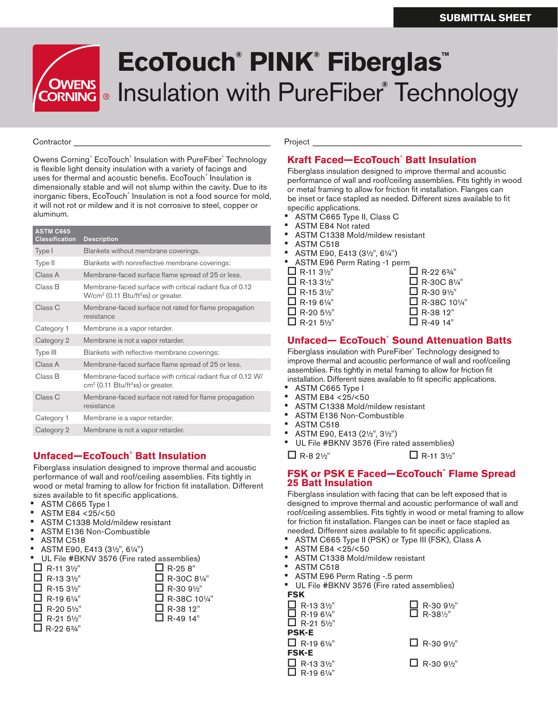# **EcoTouch® PINK® Fiberglas™**  Insulation with PureFiber**®** Technology

#### Contractor **web and the contract of the contract of the contract of the contract of the contract of the contract of the contract of the contract of the contract of the contract of the contract of the contract of the contra**

**OWENS** 

Owens Corning® EcoTouch® Insulation with PureFiber® Technology is flexible light density insulation with a variety of facings and uses for thermal and acoustic benefis. EcoTouch® Insulation is dimensionally stable and will not slump within the cavity. Due to its inorganic fibers, EcoTouch® Insulation is not a food source for mold, it will not rot or mildew and it is not corrosive to steel, copper or aluminum.

| <b>ASTM C665</b><br><b>Classification</b> | <b>Description</b>                                                                                                        |
|-------------------------------------------|---------------------------------------------------------------------------------------------------------------------------|
| Type I                                    | Blankets without membrane coverings.                                                                                      |
| Type II                                   | Blankets with nonreflective membrane coverings:                                                                           |
| Class A                                   | Membrane-faced surface flame spread of 25 or less.                                                                        |
| Class B                                   | Membrane-faced surface with critical radiant flux of 0.12<br>$W/cm2$ (0.11 Btu/ft <sup>2</sup> xs) or greater.            |
| Class C                                   | Membrane-faced surface not rated for flame propagation<br>resistance                                                      |
| Category 1                                | Membrane is a vapor retarder.                                                                                             |
| Category 2                                | Membrane is not a vapor retarder.                                                                                         |
| Type III                                  | Blankets with reflective membrane coverings:                                                                              |
| Class A                                   | Membrane-faced surface flame spread of 25 or less.                                                                        |
| Class B                                   | Membrane-faced surface with critical radiant flux of 0.12 W/<br>cm <sup>2</sup> (0.11 Btu/ft <sup>2</sup> xs) or greater. |
| Class C                                   | Membrane-faced surface not rated for flame propagation<br>resistance                                                      |
| Category 1                                | Membrane is a vapor retarder.                                                                                             |
| Category 2                                | Membrane is not a vapor retarder.                                                                                         |

#### **Unfaced—EcoTouch® Batt Insulation**

Fiberglass insulation designed to improve thermal and acoustic performance of wall and roof/ceiling assemblies. Fits tightly in wood or metal framing to allow for friction fit installation. Different sizes available to fit specific applications.

- ASTM C665 Type I
- ASTM E84 <25/<50
- ASTM C1338 Mold/mildew resistant
- ASTM E136 Non-Combustible
- ASTM C518
- ASTM E90, E413 (3½", 6¼")
- UL File #BKNV 3576 (Fire rated assemblies)

| $\Box$ R-11 31/2"              | $\Box$ R-25 8"      |
|--------------------------------|---------------------|
| $\Box$ R-13 31/2"              | $\Box$ R-30C 81/4"  |
| $\Box$ R-15 31/2"              | $\Box$ R-30 91/2"   |
| $\Box$ R-19 61/4"              | $\Box$ R-38C 101/4" |
| $\Box$ R-20 51/ <sub>2</sub> " | $\Box$ R-38 12"     |
| $\Box$ R-21 51/2"              | $\Box$ R-49 14"     |
| $\Box$ R-22 63/4"              |                     |

#### **Kraft Faced—EcoTouch® Batt Insulation**

Fiberglass insulation designed to improve thermal and acoustic performance of wall and roof/ceiling assemblies. Fits tightly in wood or metal framing to allow for friction fit installation. Flanges can be inset or face stapled as needed. Different sizes available to fit specific applications.

- ASTM C665 Type II, Class C
- ASTM E84 Not rated
- ASTM C1338 Mold/mildew resistant
- ASTM C518
- ASTM E90, E413 (3½", 6¼")
- ASTM E96 Perm Rating -1 perm

| $\Box$ R-11 31/2" |  | $\Box$ R-22 63/4"  |
|-------------------|--|--------------------|
| $\Box$ R-13 31/2" |  | $\Box$ R-30C 81/4" |
| $\Box$ R-15 31/2" |  | $\Box$ R-30 91/2"  |
| $\Box$ R-19 61/4" |  | □ R-38C 101/4"     |
| $\Box$ R-20 51/2" |  | $\Box$ R-38 12"    |
| $\Box$ R-21 51/2" |  | $\Box$ R-49 14"    |
|                   |  |                    |

# **Unfaced— EcoTouch® Sound Attenuation Batts**

Fiberglass insulation with PureFiber® Technology designed to improve thermal and acoustic performance of wall and roof/ceiling assemblies. Fits tightly in metal framing to allow for friction fit installation. Different sizes available to fit specific applications.

- ASTM C665 Type I
- $\blacksquare$  ASTM E84 <25/<50
- ASTM C1338 Mold/mildew resistant
- ASTM E136 Non-Combustible
- ASTM C518
- ASTM E90, E413 (2½", 3½")
- UL File #BKNV 3576 (Fire rated assemblies)

 $\Box$  R-8 2½"  $\Box$  R-11 3½"

#### **FSK or PSK E Faced—EcoTouch® Flame Spread 25 Batt Insulation**

Fiberglass insulation with facing that can be left exposed that is designed to improve thermal and acoustic performance of wall and roof/ceiling assemblies. Fits tightly in wood or metal framing to allow for friction fit installation. Flanges can be inset or face stapled as needed. Different sizes available to fit specific applications.

- ASTM C665 Type II (PSK) or Type III (FSK), Class A
- ASTM E84 <25/<50
- ASTM C1338 Mold/mildew resistant
- ASTM C518
- ASTM E96 Perm Rating -.5 perm
- UL File #BKNV 3576 (Fire rated assemblies) **FSK**

| $\Box$ R-13 31/2"<br>$\Box$ R-19 61/4"<br>$\Box$ R-21 51/2" | $\Box$ R-30 91/2"<br>$\Box$ R-381/2" |
|-------------------------------------------------------------|--------------------------------------|
| <b>PSK-E</b><br>$\Box$ R-19 61/4"                           | $\Box$ R-30 91/2"                    |
| <b>FSK-E</b><br>$\Box$ R-13 31/2"<br>$\Box$ R-19 61/4"      | $\Box$ R-30 91/2"                    |